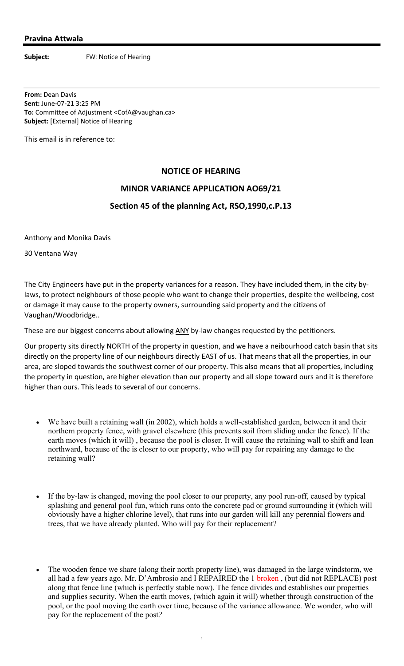## **Pravina Attwala**

**Subject:** FW: Notice of Hearing

**From:** Dean Davis **Sent:** June‐07‐21 3:25 PM **To:** Committee of Adjustment <CofA@vaughan.ca> **Subject:** [External] Notice of Hearing

This email is in reference to:

## **NOTICE OF HEARING**

## **MINOR VARIANCE APPLICATION AO69/21**

## **Section 45 of the planning Act, RSO,1990,c.P.13**

Anthony and Monika Davis

30 Ventana Way

The City Engineers have put in the property variances for a reason. They have included them, in the city by‐ laws, to protect neighbours of those people who want to change their properties, despite the wellbeing, cost or damage it may cause to the property owners, surrounding said property and the citizens of Vaughan/Woodbridge..

These are our biggest concerns about allowing ANY by-law changes requested by the petitioners.

Our property sits directly NORTH of the property in question, and we have a neibourhood catch basin that sits directly on the property line of our neighbours directly EAST of us. That means that all the properties, in our area, are sloped towards the southwest corner of our property. This also means that all properties, including the property in question, are higher elevation than our property and all slope toward ours and it is therefore higher than ours. This leads to several of our concerns.

- We have built a retaining wall (in 2002), which holds a well-established garden, between it and their northern property fence, with gravel elsewhere (this prevents soil from sliding under the fence). If the earth moves (which it will) , because the pool is closer. It will cause the retaining wall to shift and lean northward, because of the is closer to our property, who will pay for repairing any damage to the retaining wall?
- If the by-law is changed, moving the pool closer to our property, any pool run-off, caused by typical splashing and general pool fun, which runs onto the concrete pad or ground surrounding it (which will obviously have a higher chlorine level), that runs into our garden will kill any perennial flowers and trees, that we have already planted. Who will pay for their replacement?
- The wooden fence we share (along their north property line), was damaged in the large windstorm, we all had a few years ago. Mr. D'Ambrosio and I REPAIRED the 1 broken , (but did not REPLACE) post along that fence line (which is perfectly stable now). The fence divides and establishes our properties and supplies security. When the earth moves, (which again it will) whether through construction of the pool, or the pool moving the earth over time, because of the variance allowance. We wonder, who will pay for the replacement of the post*?*